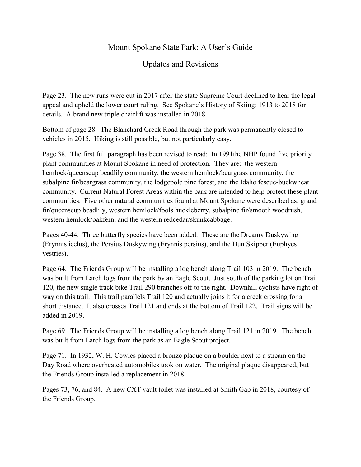## Mount Spokane State Park: A User's Guide

## Updates and Revisions

Page 23. The new runs were cut in 2017 after the state Supreme Court declined to hear the legal appeal and upheld the lower court ruling. See Spokane's History of Skiing: 1913 to 2018 for details. A brand new triple chairlift was installed in 2018.

Bottom of page 28. The Blanchard Creek Road through the park was permanently closed to vehicles in 2015. Hiking is still possible, but not particularly easy.

Page 38. The first full paragraph has been revised to read: In 1991the NHP found five priority plant communities at Mount Spokane in need of protection. They are: the western hemlock/queenscup beadlily community, the western hemlock/beargrass community, the subalpine fir/beargrass community, the lodgepole pine forest, and the Idaho fescue-buckwheat community. Current Natural Forest Areas within the park are intended to help protect these plant communities. Five other natural communities found at Mount Spokane were described as: grand fir/queenscup beadlily, western hemlock/fools huckleberry, subalpine fir/smooth woodrush, western hemlock/oakfern, and the western redcedar/skunkcabbage.

Pages 40-44. Three butterfly species have been added. These are the Dreamy Duskywing (Erynnis icelus), the Persius Duskywing (Erynnis persius), and the Dun Skipper (Euphyes vestries).

Page 64. The Friends Group will be installing a log bench along Trail 103 in 2019. The bench was built from Larch logs from the park by an Eagle Scout. Just south of the parking lot on Trail 120, the new single track bike Trail 290 branches off to the right. Downhill cyclists have right of way on this trail. This trail parallels Trail 120 and actually joins it for a creek crossing for a short distance. It also crosses Trail 121 and ends at the bottom of Trail 122. Trail signs will be added in 2019.

Page 69. The Friends Group will be installing a log bench along Trail 121 in 2019. The bench was built from Larch logs from the park as an Eagle Scout project.

Page 71. In 1932, W. H. Cowles placed a bronze plaque on a boulder next to a stream on the Day Road where overheated automobiles took on water. The original plaque disappeared, but the Friends Group installed a replacement in 2018.

Pages 73, 76, and 84. A new CXT vault toilet was installed at Smith Gap in 2018, courtesy of the Friends Group.